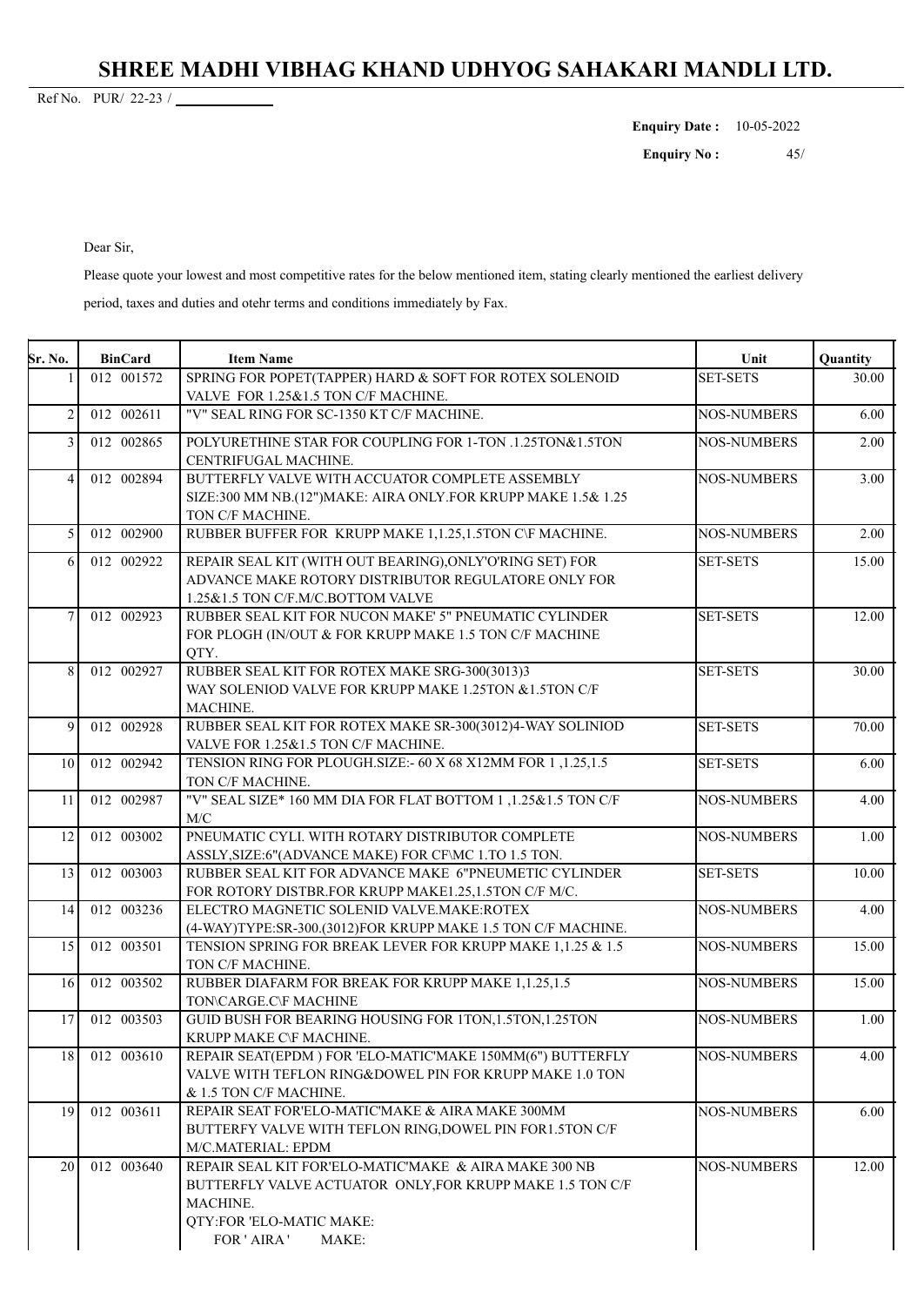## **SHREE MADHI VIBHAG KHAND UDHYOG SAHAKARI MANDLI LTD.**

22-23 Ref No. PUR/ /

**Enquiry Date :** 10-05-2022

 45 **Enquiry No:** 

Dear Sir,

Please quote your lowest and most competitive rates for the below mentioned item, stating clearly mentioned the earliest delivery

period, taxes and duties and otehr terms and conditions immediately by Fax.

| <b>Sr. No.</b> | <b>BinCard</b> | <b>Item Name</b>                                             | Unit               | Quantity |
|----------------|----------------|--------------------------------------------------------------|--------------------|----------|
|                | 012 001572     | SPRING FOR POPET(TAPPER) HARD & SOFT FOR ROTEX SOLENOID      | <b>SET-SETS</b>    | 30.00    |
|                |                | VALVE FOR 1.25&1.5 TON C/F MACHINE.                          |                    |          |
| 2              | 012 002611     | "V" SEAL RING FOR SC-1350 KT C/F MACHINE.                    | <b>NOS-NUMBERS</b> | 6.00     |
| 3              | 012 002865     | POLYURETHINE STAR FOR COUPLING FOR 1-TON .1.25TON&1.5TON     | <b>NOS-NUMBERS</b> | 2.00     |
|                |                | CENTRIFUGAL MACHINE.                                         |                    |          |
| 4              | 012 002894     | BUTTERFLY VALVE WITH ACCUATOR COMPLETE ASSEMBLY              | <b>NOS-NUMBERS</b> | 3.00     |
|                |                | SIZE:300 MM NB.(12")MAKE: AIRA ONLY.FOR KRUPP MAKE 1.5& 1.25 |                    |          |
|                |                | TON C/F MACHINE.                                             |                    |          |
| 5              | 012 002900     | RUBBER BUFFER FOR KRUPP MAKE 1,1.25,1.5TON C\F MACHINE.      | <b>NOS-NUMBERS</b> | 2.00     |
| 6              | 012 002922     | REPAIR SEAL KIT (WITH OUT BEARING), ONLY'O'RING SET) FOR     | <b>SET-SETS</b>    | 15.00    |
|                |                | ADVANCE MAKE ROTORY DISTRIBUTOR REGULATORE ONLY FOR          |                    |          |
|                |                | 1.25&1.5 TON C/F.M/C.BOTTOM VALVE                            |                    |          |
| $\overline{7}$ | 012 002923     | RUBBER SEAL KIT FOR NUCON MAKE' 5" PNEUMATIC CYLINDER        | <b>SET-SETS</b>    | 12.00    |
|                |                | FOR PLOGH (IN/OUT & FOR KRUPP MAKE 1.5 TON C/F MACHINE       |                    |          |
|                |                | QTY.                                                         |                    |          |
| 8              | 012 002927     | RUBBER SEAL KIT FOR ROTEX MAKE SRG-300(3013)3                | <b>SET-SETS</b>    | 30.00    |
|                |                | WAY SOLENIOD VALVE FOR KRUPP MAKE 1.25TON & 1.5TON C/F       |                    |          |
|                |                | MACHINE.                                                     |                    |          |
| 9              | 012 002928     | RUBBER SEAL KIT FOR ROTEX MAKE SR-300(3012)4-WAY SOLINIOD    | <b>SET-SETS</b>    | 70.00    |
|                |                | VALVE FOR 1.25&1.5 TON C/F MACHINE.                          |                    |          |
| 10             | 012 002942     | TENSION RING FOR PLOUGH.SIZE: - 60 X 68 X12MM FOR 1,1.25,1.5 | <b>SET-SETS</b>    | 6.00     |
|                |                | TON C/F MACHINE.                                             |                    |          |
| 11             | 012 002987     | "V" SEAL SIZE* 160 MM DIA FOR FLAT BOTTOM 1,1.25&1.5 TON C/F | <b>NOS-NUMBERS</b> | 4.00     |
|                |                | M/C                                                          |                    |          |
| 12             | 012 003002     | PNEUMATIC CYLI. WITH ROTARY DISTRIBUTOR COMPLETE             | <b>NOS-NUMBERS</b> | 1.00     |
|                |                | ASSLY, SIZE:6"(ADVANCE MAKE) FOR CF\MC 1.TO 1.5 TON.         |                    |          |
| 13             | 012 003003     | RUBBER SEAL KIT FOR ADVANCE MAKE 6"PNEUMETIC CYLINDER        | <b>SET-SETS</b>    | 10.00    |
|                |                | FOR ROTORY DISTBR.FOR KRUPP MAKE1.25,1.5TON C/F M/C.         |                    |          |
| 14             | 012 003236     | ELECTRO MAGNETIC SOLENID VALVE.MAKE:ROTEX                    | <b>NOS-NUMBERS</b> | 4.00     |
|                |                | (4-WAY)TYPE:SR-300.(3012)FOR KRUPP MAKE 1.5 TON C/F MACHINE. |                    |          |
| 15             | 012 003501     | TENSION SPRING FOR BREAK LEVER FOR KRUPP MAKE 1,1.25 & 1.5   | <b>NOS-NUMBERS</b> | 15.00    |
|                |                | TON C/F MACHINE.                                             |                    |          |
| 16             | 012 003502     | RUBBER DIAFARM FOR BREAK FOR KRUPP MAKE 1,1.25,1.5           | <b>NOS-NUMBERS</b> | 15.00    |
|                |                | TON\CARGE.C\F MACHINE                                        |                    |          |
| 17             | 012 003503     | GUID BUSH FOR BEARING HOUSING FOR 1TON, 1.5TON, 1.25TON      | <b>NOS-NUMBERS</b> | 1.00     |
|                |                | KRUPP MAKE C\F MACHINE.                                      |                    |          |
| 18             | 012 003610     | REPAIR SEAT(EPDM) FOR 'ELO-MATIC'MAKE 150MM(6") BUTTERFLY    | <b>NOS-NUMBERS</b> | 4.00     |
|                |                | VALVE WITH TEFLON RING&DOWEL PIN FOR KRUPP MAKE 1.0 TON      |                    |          |
|                |                | & 1.5 TON C/F MACHINE.                                       |                    |          |
| 19             | 012 003611     | REPAIR SEAT FOR'ELO-MATIC'MAKE & AIRA MAKE 300MM             | <b>NOS-NUMBERS</b> | 6.00     |
|                |                | BUTTERFY VALVE WITH TEFLON RING, DOWEL PIN FOR1.5TON C/F     |                    |          |
|                |                | M/C.MATERIAL: EPDM                                           |                    |          |
| 20             | 012 003640     | REPAIR SEAL KIT FOR'ELO-MATIC'MAKE & AIRA MAKE 300 NB        | <b>NOS-NUMBERS</b> | 12.00    |
|                |                | BUTTERFLY VALVE ACTUATOR ONLY, FOR KRUPP MAKE 1.5 TON C/F    |                    |          |
|                |                | MACHINE.                                                     |                    |          |
|                |                | QTY:FOR 'ELO-MATIC MAKE:                                     |                    |          |
|                |                | FOR ' AIRA '<br>MAKE:                                        |                    |          |
|                |                |                                                              |                    |          |